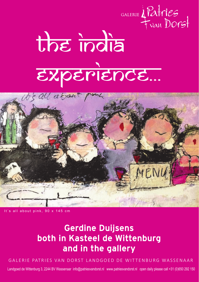

## The India experience...



s all about pink, 90 x 145 cm

## Gerdine Duijsens both in Kasteel de Wittenburg and in the gallery

GALERIE PATRIES VAN DORST LANDGOED DE WITTENBURG WASSENAAR

Landgoed de Wittenburg 3, 2244 BV Wassenaar info@patriesvandorst.nl www.patriesvandorst.nl open daily please call +31 (0)650 292 150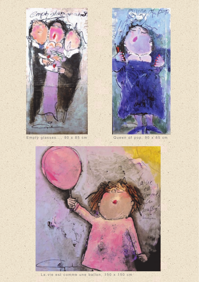

Empty glasses..., 90 x 85 cm



Queen of pop, 90 x 85 cm

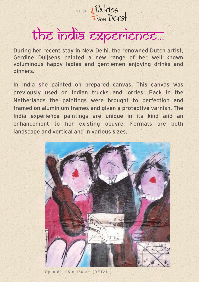

## the india experience...

During her recent stay in New Delhi, the renowned Dutch artist, Gerdine Duijsens painted a new range of her well known voluminous happy ladies and gentlemen enjoying drinks and dinners.

In India she painted on prepared canvas. This canvas was previously used on Indian trucks and lorries! Back in the Netherlands the paintings were brought to perfection and framed on aluminium frames and given a protective varnish. The India experience paintings are unique in its kind and an enhancement to her existing oeuvre. Formats are both landscape and vertical and in various sizes.



Opus 52, 95 x 180 cm (DETAIL)